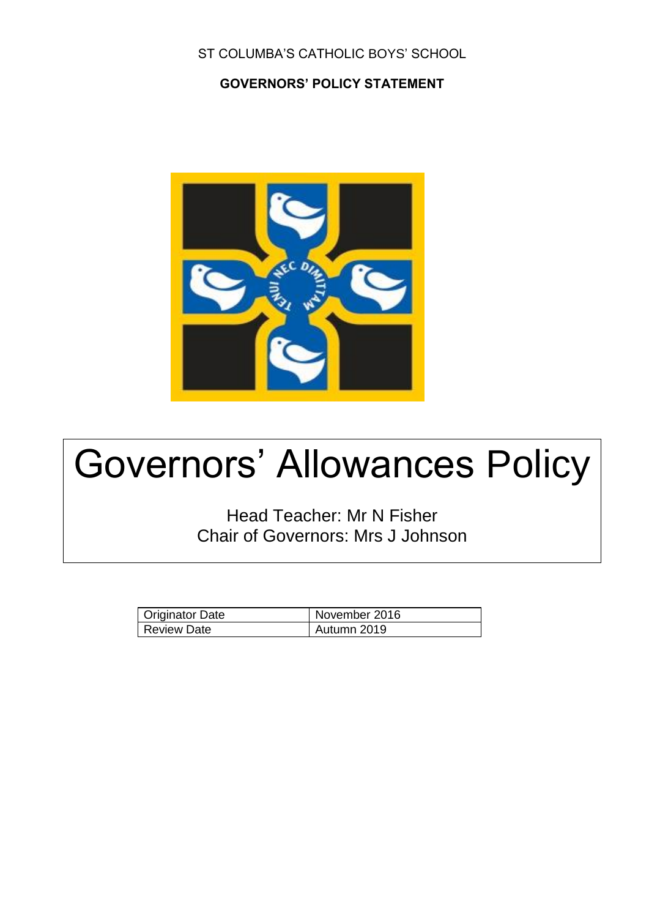### ST COLUMBA'S CATHOLIC BOYS' SCHOOL

### **GOVERNORS' POLICY STATEMENT**



# Governors' Allowances Policy

Head Teacher: Mr N Fisher Chair of Governors: Mrs J Johnson

| Originator Date | November 2016 |
|-----------------|---------------|
| Review Date     | Autumn 2019   |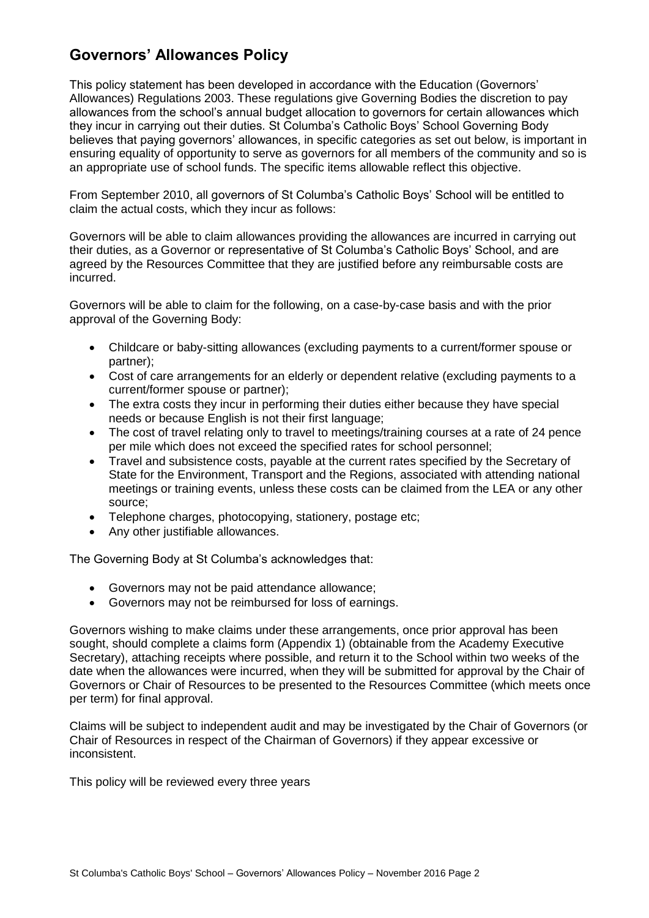# **Governors' Allowances Policy**

This policy statement has been developed in accordance with the Education (Governors' Allowances) Regulations 2003. These regulations give Governing Bodies the discretion to pay allowances from the school's annual budget allocation to governors for certain allowances which they incur in carrying out their duties. St Columba's Catholic Boys' School Governing Body believes that paying governors' allowances, in specific categories as set out below, is important in ensuring equality of opportunity to serve as governors for all members of the community and so is an appropriate use of school funds. The specific items allowable reflect this objective.

From September 2010, all governors of St Columba's Catholic Boys' School will be entitled to claim the actual costs, which they incur as follows:

Governors will be able to claim allowances providing the allowances are incurred in carrying out their duties, as a Governor or representative of St Columba's Catholic Boys' School, and are agreed by the Resources Committee that they are justified before any reimbursable costs are incurred.

Governors will be able to claim for the following, on a case-by-case basis and with the prior approval of the Governing Body:

- Childcare or baby-sitting allowances (excluding payments to a current/former spouse or partner);
- Cost of care arrangements for an elderly or dependent relative (excluding payments to a current/former spouse or partner);
- The extra costs they incur in performing their duties either because they have special needs or because English is not their first language;
- The cost of travel relating only to travel to meetings/training courses at a rate of 24 pence per mile which does not exceed the specified rates for school personnel;
- Travel and subsistence costs, payable at the current rates specified by the Secretary of State for the Environment, Transport and the Regions, associated with attending national meetings or training events, unless these costs can be claimed from the LEA or any other source;
- Telephone charges, photocopying, stationery, postage etc;
- Any other justifiable allowances.

The Governing Body at St Columba's acknowledges that:

- Governors may not be paid attendance allowance;
- Governors may not be reimbursed for loss of earnings.

Governors wishing to make claims under these arrangements, once prior approval has been sought, should complete a claims form (Appendix 1) (obtainable from the Academy Executive Secretary), attaching receipts where possible, and return it to the School within two weeks of the date when the allowances were incurred, when they will be submitted for approval by the Chair of Governors or Chair of Resources to be presented to the Resources Committee (which meets once per term) for final approval.

Claims will be subject to independent audit and may be investigated by the Chair of Governors (or Chair of Resources in respect of the Chairman of Governors) if they appear excessive or inconsistent.

This policy will be reviewed every three years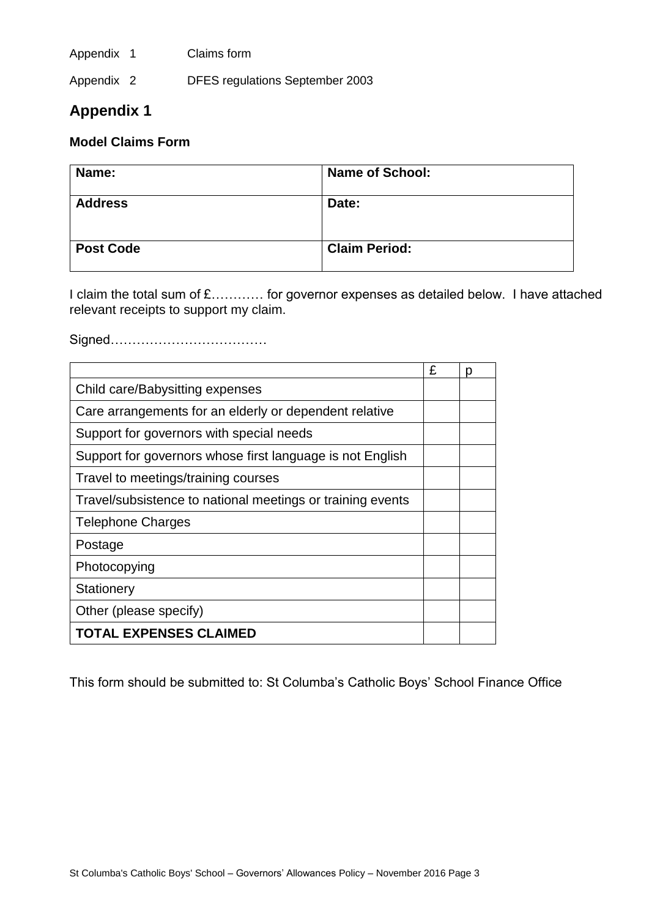Appendix 1 Claims form

Appendix 2 DFES regulations September 2003

## **Appendix 1**

#### **Model Claims Form**

| Name:            | <b>Name of School:</b> |
|------------------|------------------------|
| <b>Address</b>   | Date:                  |
| <b>Post Code</b> | <b>Claim Period:</b>   |

I claim the total sum of £………… for governor expenses as detailed below. I have attached relevant receipts to support my claim.

Signed………………………………

|                                                            | £ | D |
|------------------------------------------------------------|---|---|
| Child care/Babysitting expenses                            |   |   |
| Care arrangements for an elderly or dependent relative     |   |   |
| Support for governors with special needs                   |   |   |
| Support for governors whose first language is not English  |   |   |
| Travel to meetings/training courses                        |   |   |
| Travel/subsistence to national meetings or training events |   |   |
| <b>Telephone Charges</b>                                   |   |   |
| Postage                                                    |   |   |
| Photocopying                                               |   |   |
| Stationery                                                 |   |   |
| Other (please specify)                                     |   |   |
| <b>TOTAL EXPENSES CLAIMED</b>                              |   |   |

This form should be submitted to: St Columba's Catholic Boys' School Finance Office